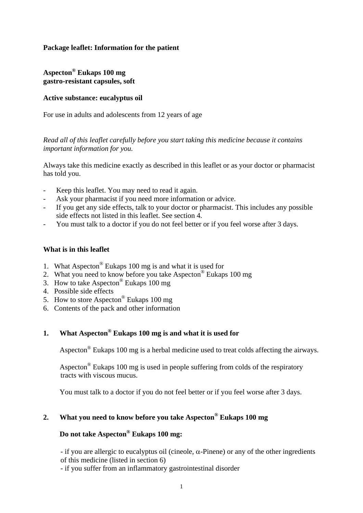### **Package leaflet: Information for the patient**

### **Aspecton® Eukaps 100 mg gastro-resistant capsules, soft**

### **Active substance: eucalyptus oil**

For use in adults and adolescents from 12 years of age

*Read all of this leaflet carefully before you start taking this medicine because it contains important information for you.* 

Always take this medicine exactly as described in this leaflet or as your doctor or pharmacist has told you.

- Keep this leaflet. You may need to read it again.
- Ask your pharmacist if you need more information or advice.
- If you get any side effects, talk to your doctor or pharmacist. This includes any possible side effects not listed in this leaflet. See section 4.
- You must talk to a doctor if you do not feel better or if you feel worse after 3 days.

### **What is in this leaflet**

- 1. What Aspecton® Eukaps 100 mg is and what it is used for
- 2. What you need to know before you take Aspecton® Eukaps 100 mg
- 3. How to take Aspecton® Eukaps 100 mg
- 4. Possible side effects
- 5. How to store Aspecton® Eukaps 100 mg
- 6. Contents of the pack and other information

# **1. What Aspecton® Eukaps 100 mg is and what it is used for**

Aspecton<sup>®</sup> Eukaps 100 mg is a herbal medicine used to treat colds affecting the airways.

Aspecton<sup>®</sup> Eukaps 100 mg is used in people suffering from colds of the respiratory tracts with viscous mucus.

You must talk to a doctor if you do not feel better or if you feel worse after 3 days.

# **2. What you need to know before you take Aspecton® Eukaps 100 mg**

# **Do not take Aspecton® Eukaps 100 mg:**

- if you are allergic to eucalyptus oil (cineole,  $\alpha$ -Pinene) or any of the other ingredients of this medicine (listed in section 6)

- if you suffer from an inflammatory gastrointestinal disorder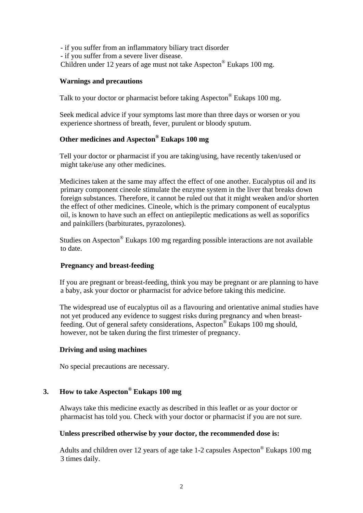- if you suffer from an inflammatory biliary tract disorder - if you suffer from a severe liver disease. Children under 12 years of age must not take Aspecton® Eukaps 100 mg.

### **Warnings and precautions**

Talk to your doctor or pharmacist before taking Aspecton® Eukaps 100 mg.

 Seek medical advice if your symptoms last more than three days or worsen or you experience shortness of breath, fever, purulent or bloody sputum.

# **Other medicines and Aspecton® Eukaps 100 mg**

 Tell your doctor or pharmacist if you are taking/using, have recently taken/used or might take/use any other medicines.

 Medicines taken at the same may affect the effect of one another. Eucalyptus oil and its primary component cineole stimulate the enzyme system in the liver that breaks down foreign substances. Therefore, it cannot be ruled out that it might weaken and/or shorten the effect of other medicines. Cineole, which is the primary component of eucalyptus oil, is known to have such an effect on antiepileptic medications as well as soporifics and painkillers (barbiturates, pyrazolones).

 Studies on Aspecton® Eukaps 100 mg regarding possible interactions are not available to date.

#### **Pregnancy and breast-feeding**

 If you are pregnant or breast-feeding, think you may be pregnant or are planning to have a baby, ask your doctor or pharmacist for advice before taking this medicine.

 The widespread use of eucalyptus oil as a flavouring and orientative animal studies have not yet produced any evidence to suggest risks during pregnancy and when breastfeeding. Out of general safety considerations, Aspecton® Eukaps 100 mg should, however, not be taken during the first trimester of pregnancy.

#### **Driving and using machines**

No special precautions are necessary.

### **3. How to take Aspecton® Eukaps 100 mg**

 Always take this medicine exactly as described in this leaflet or as your doctor or pharmacist has told you. Check with your doctor or pharmacist if you are not sure.

#### **Unless prescribed otherwise by your doctor, the recommended dose is:**

 Adults and children over 12 years of age take 1-2 capsules Aspecton® Eukaps 100 mg 3 times daily.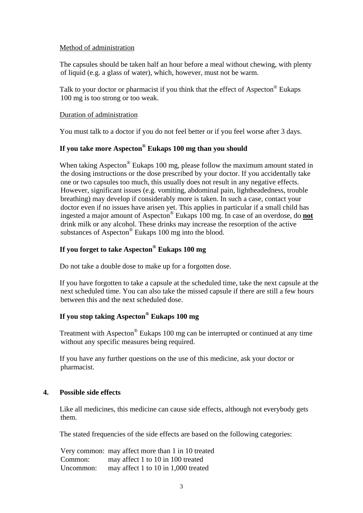### Method of administration

 The capsules should be taken half an hour before a meal without chewing, with plenty of liquid (e.g. a glass of water), which, however, must not be warm.

Talk to your doctor or pharmacist if you think that the effect of Aspecton<sup>®</sup> Eukaps 100 mg is too strong or too weak.

### Duration of administration

You must talk to a doctor if you do not feel better or if you feel worse after 3 days.

# **If you take more Aspecton® Eukaps 100 mg than you should**

When taking Aspecton<sup>®</sup> Eukaps 100 mg, please follow the maximum amount stated in the dosing instructions or the dose prescribed by your doctor. If you accidentally take one or two capsules too much, this usually does not result in any negative effects. However, significant issues (e.g. vomiting, abdominal pain, lightheadedness, trouble breathing) may develop if considerably more is taken. In such a case, contact your doctor even if no issues have arisen yet. This applies in particular if a small child has ingested a major amount of Aspecton® Eukaps 100 mg. In case of an overdose, do **not** drink milk or any alcohol. These drinks may increase the resorption of the active substances of Aspecton® Eukaps 100 mg into the blood.

### **If you forget to take Aspecton® Eukaps 100 mg**

Do not take a double dose to make up for a forgotten dose.

 If you have forgotten to take a capsule at the scheduled time, take the next capsule at the next scheduled time. You can also take the missed capsule if there are still a few hours between this and the next scheduled dose.

# **If you stop taking Aspecton® Eukaps 100 mg**

 Treatment with Aspecton® Eukaps 100 mg can be interrupted or continued at any time without any specific measures being required.

 If you have any further questions on the use of this medicine, ask your doctor or pharmacist.

### **4. Possible side effects**

 Like all medicines, this medicine can cause side effects, although not everybody gets them.

The stated frequencies of the side effects are based on the following categories:

Very common: may affect more than 1 in 10 treated Common: may affect 1 to 10 in 100 treated Uncommon: may affect 1 to 10 in 1,000 treated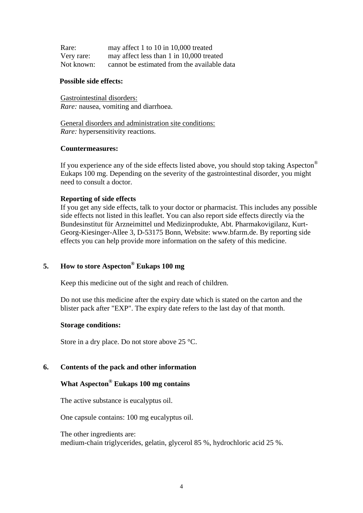| Rare:      | may affect 1 to 10 in 10,000 treated        |
|------------|---------------------------------------------|
| Very rare: | may affect less than 1 in 10,000 treated    |
| Not known: | cannot be estimated from the available data |

#### **Possible side effects:**

Gastrointestinal disorders: *Rare:* nausea, vomiting and diarrhoea.

General disorders and administration site conditions: *Rare:* hypersensitivity reactions.

#### **Countermeasures:**

If you experience any of the side effects listed above, you should stop taking Aspecton<sup>®</sup> Eukaps 100 mg. Depending on the severity of the gastrointestinal disorder, you might need to consult a doctor.

#### **Reporting of side effects**

If you get any side effects, talk to your doctor or pharmacist. This includes any possible side effects not listed in this leaflet. You can also report side effects directly via the Bundesinstitut für Arzneimittel und Medizinprodukte, Abt. Pharmakovigilanz, Kurt-Georg-Kiesinger-Allee 3, D-53175 Bonn, Website: www.bfarm.de. By reporting side effects you can help provide more information on the safety of this medicine.

# **5. How to store Aspecton® Eukaps 100 mg**

Keep this medicine out of the sight and reach of children.

Do not use this medicine after the expiry date which is stated on the carton and the blister pack after "EXP". The expiry date refers to the last day of that month.

#### **Storage conditions:**

Store in a dry place. Do not store above 25 °C.

#### **6. Contents of the pack and other information**

# **What Aspecton® Eukaps 100 mg contains**

The active substance is eucalyptus oil.

One capsule contains: 100 mg eucalyptus oil.

The other ingredients are: medium-chain triglycerides, gelatin, glycerol 85 %, hydrochloric acid 25 %.